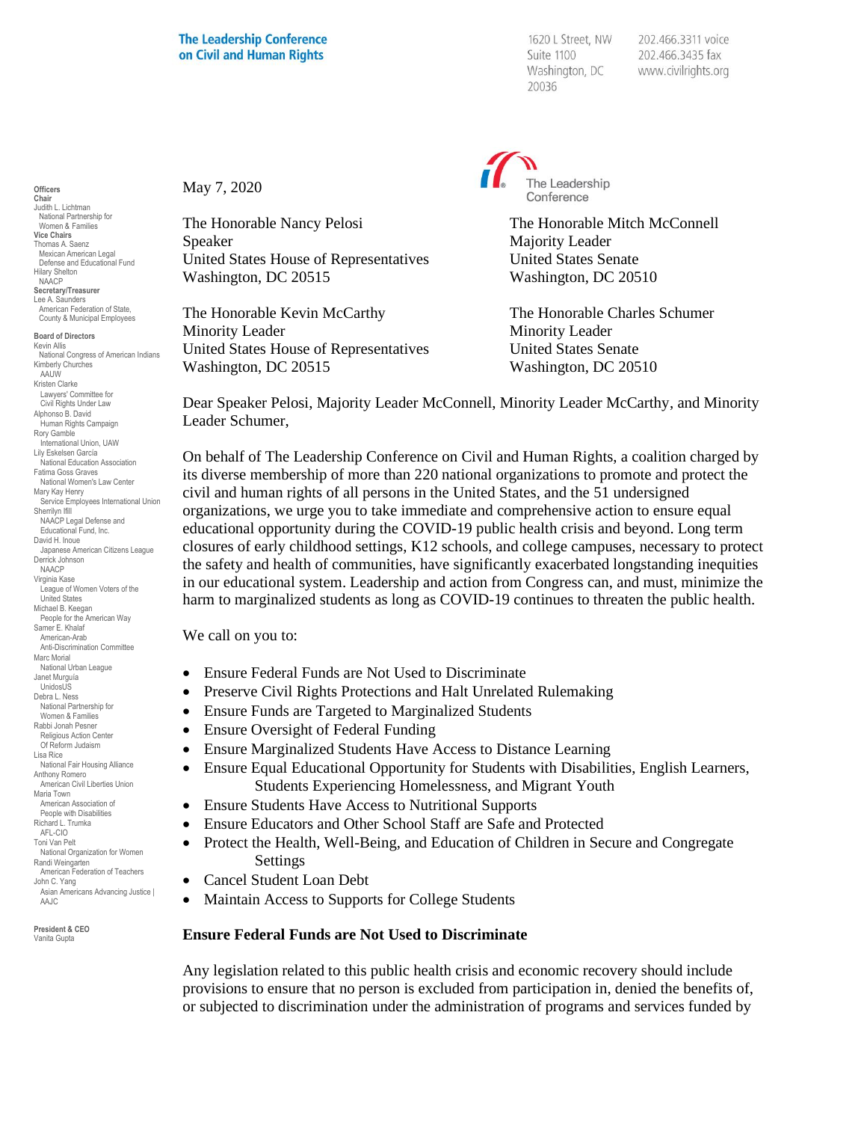May 7, 2020

1620 L Street, NW Suite 1100 Washington, DC 20036

202.466.3311 voice 202.466.3435 fax www.civilrights.org



The Honorable Nancy Pelosi **The Honorable Mitch McConnell** Speaker Majority Leader United States House of Representatives United States Senate Washington, DC 20515 Washington, DC 20510

The Honorable Kevin McCarthy The Honorable Charles Schumer Minority Leader Minority Leader United States House of Representatives United States Senate Washington, DC 20515 Washington, DC 20510

Dear Speaker Pelosi, Majority Leader McConnell, Minority Leader McCarthy, and Minority Leader Schumer,

On behalf of The Leadership Conference on Civil and Human Rights, a coalition charged by its diverse membership of more than 220 national organizations to promote and protect the civil and human rights of all persons in the United States, and the 51 undersigned organizations, we urge you to take immediate and comprehensive action to ensure equal educational opportunity during the COVID-19 public health crisis and beyond. Long term closures of early childhood settings, K12 schools, and college campuses, necessary to protect the safety and health of communities, have significantly exacerbated longstanding inequities in our educational system. Leadership and action from Congress can, and must, minimize the harm to marginalized students as long as COVID-19 continues to threaten the public health.

We call on you to:

- Ensure Federal Funds are Not Used to Discriminate
- Preserve Civil Rights Protections and Halt Unrelated Rulemaking
- Ensure Funds are Targeted to Marginalized Students
- Ensure Oversight of Federal Funding
- Ensure Marginalized Students Have Access to Distance Learning
- Ensure Equal Educational Opportunity for Students with Disabilities, English Learners, Students Experiencing Homelessness, and Migrant Youth
- Ensure Students Have Access to Nutritional Supports
- Ensure Educators and Other School Staff are Safe and Protected
- Protect the Health, Well-Being, and Education of Children in Secure and Congregate Settings
- Cancel Student Loan Debt
- Maintain Access to Supports for College Students

#### **Ensure Federal Funds are Not Used to Discriminate**

Any legislation related to this public health crisis and economic recovery should include provisions to ensure that no person is excluded from participation in, denied the benefits of, or subjected to discrimination under the administration of programs and services funded by

**Officers Chair** Judith L. Lichtman National Partnership for Women & Families **Vice Chairs** Thomas A. Saenz Mexican American Legal Defense and Educational Fund Hilary Shelton NAACP **Secretary/Treasurer** Lee A. Saunders American Federation of State, County & Municipal Employees

**Board of Directors** Kevin Allis National Congress of American Indians Kimberly Churches **AAUW** Kristen Clarke Lawyers' Committee for Civil Rights Under Law Alphonso B. David Human Rights Campaign Rory Gamble International Union, UAW Lily Eskelsen García National Education Association Fatima Goss Graves National Women's Law Center Mary Kay Henry Service Employees International Union Sherrilyn Ifill NAACP Legal Defense and Educational Fund, Inc. David H. Inoue Japanese American Citizens League Derrick Johnson NAACP Virginia Kase League of Women Voters of the United States Michael B. Keegan People for the American Way Samer E. Khalaf American-Arab Anti-Discrimination Committee Marc Morial National Urban League Janet Murguía UnidosL<sub>IS</sub> Debra L. Ness National Partnership for Women & Families Rabbi Jonah Pesner Religious Action Center Of Reform Judaism Lisa Rice National Fair Housing Alliance Anthony Romero American Civil Liberties Union Maria Town American Association of People with Disabilities Richard L. Trumka AFL-CIO Toni Van Pelt National Organization for Women Randi Weingarten American Federation of Teachers John C. Yang Asian Americans Advancing Justice | AAJC

**President & CEO** Vanita Gupta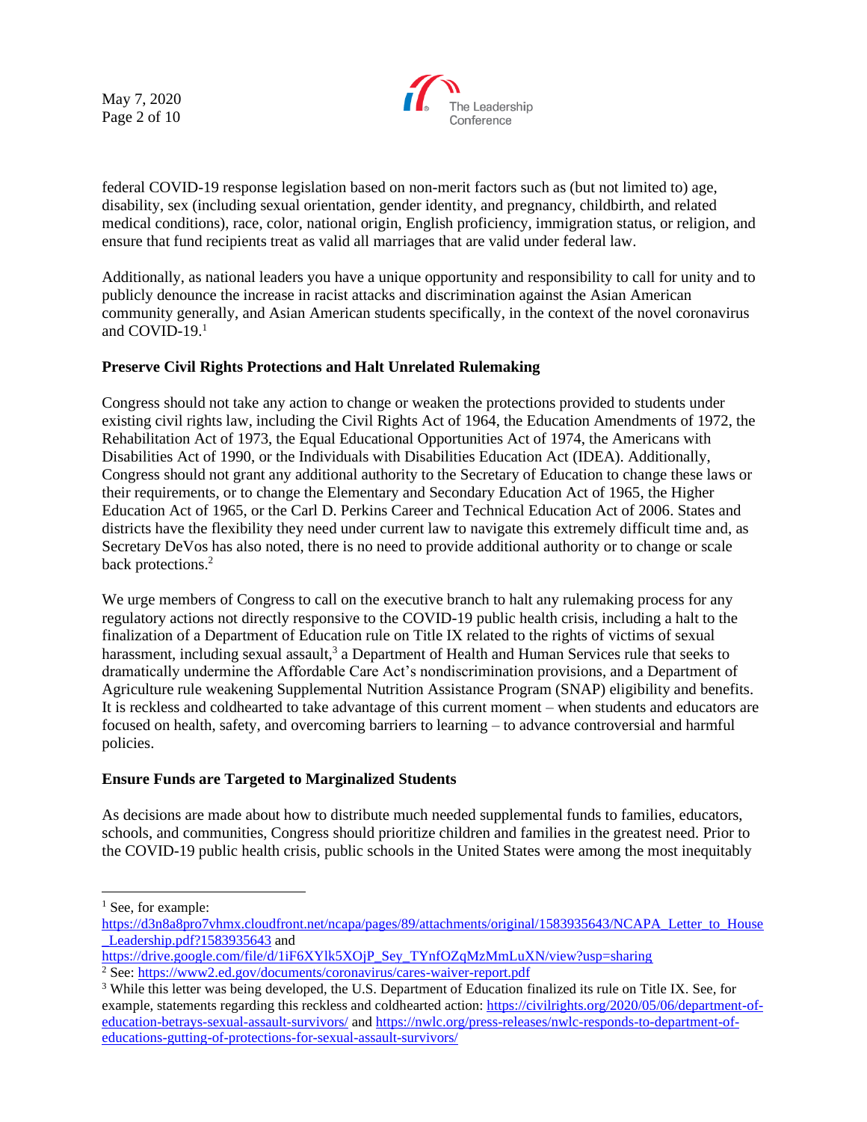May 7, 2020 Page 2 of 10



federal COVID-19 response legislation based on non-merit factors such as (but not limited to) age, disability, sex (including sexual orientation, gender identity, and pregnancy, childbirth, and related medical conditions), race, color, national origin, English proficiency, immigration status, or religion, and ensure that fund recipients treat as valid all marriages that are valid under federal law.

Additionally, as national leaders you have a unique opportunity and responsibility to call for unity and to publicly denounce the increase in racist attacks and discrimination against the Asian American community generally, and Asian American students specifically, in the context of the novel coronavirus and COVID-19.<sup>1</sup>

# **Preserve Civil Rights Protections and Halt Unrelated Rulemaking**

Congress should not take any action to change or weaken the protections provided to students under existing civil rights law, including the Civil Rights Act of 1964, the Education Amendments of 1972, the Rehabilitation Act of 1973, the Equal Educational Opportunities Act of 1974, the Americans with Disabilities Act of 1990, or the Individuals with Disabilities Education Act (IDEA). Additionally, Congress should not grant any additional authority to the Secretary of Education to change these laws or their requirements, or to change the Elementary and Secondary Education Act of 1965, the Higher Education Act of 1965, or the Carl D. Perkins Career and Technical Education Act of 2006. States and districts have the flexibility they need under current law to navigate this extremely difficult time and, as Secretary DeVos has also noted, there is no need to provide additional authority or to change or scale back protections.<sup>2</sup>

We urge members of Congress to call on the executive branch to halt any rulemaking process for any regulatory actions not directly responsive to the COVID-19 public health crisis, including a halt to the finalization of a Department of Education rule on Title IX related to the rights of victims of sexual harassment, including sexual assault,<sup>3</sup> a Department of Health and Human Services rule that seeks to dramatically undermine the Affordable Care Act's nondiscrimination provisions, and a Department of Agriculture rule weakening Supplemental Nutrition Assistance Program (SNAP) eligibility and benefits. It is reckless and coldhearted to take advantage of this current moment – when students and educators are focused on health, safety, and overcoming barriers to learning – to advance controversial and harmful policies.

### **Ensure Funds are Targeted to Marginalized Students**

As decisions are made about how to distribute much needed supplemental funds to families, educators, schools, and communities, Congress should prioritize children and families in the greatest need. Prior to the COVID-19 public health crisis, public schools in the United States were among the most inequitably

<sup>&</sup>lt;sup>1</sup> See, for example:

[https://d3n8a8pro7vhmx.cloudfront.net/ncapa/pages/89/attachments/original/1583935643/NCAPA\\_Letter\\_to\\_House](https://d3n8a8pro7vhmx.cloudfront.net/ncapa/pages/89/attachments/original/1583935643/NCAPA_Letter_to_House_Leadership.pdf?1583935643) Leadership.pdf?1583935643 and

[https://drive.google.com/file/d/1iF6XYlk5XOjP\\_Sey\\_TYnfOZqMzMmLuXN/view?usp=sharing](https://drive.google.com/file/d/1iF6XYlk5XOjP_Sey_TYnfOZqMzMmLuXN/view?usp=sharing)

<sup>&</sup>lt;sup>2</sup> See:<https://www2.ed.gov/documents/coronavirus/cares-waiver-report.pdf>

<sup>&</sup>lt;sup>3</sup> While this letter was being developed, the U.S. Department of Education finalized its rule on Title IX. See, for example, statements regarding this reckless and coldhearted action: [https://civilrights.org/2020/05/06/department-of](https://civilrights.org/2020/05/06/department-of-education-betrays-sexual-assault-survivors/)[education-betrays-sexual-assault-survivors/](https://civilrights.org/2020/05/06/department-of-education-betrays-sexual-assault-survivors/) and [https://nwlc.org/press-releases/nwlc-responds-to-department-of](https://nwlc.org/press-releases/nwlc-responds-to-department-of-educations-gutting-of-protections-for-sexual-assault-survivors/)[educations-gutting-of-protections-for-sexual-assault-survivors/](https://nwlc.org/press-releases/nwlc-responds-to-department-of-educations-gutting-of-protections-for-sexual-assault-survivors/)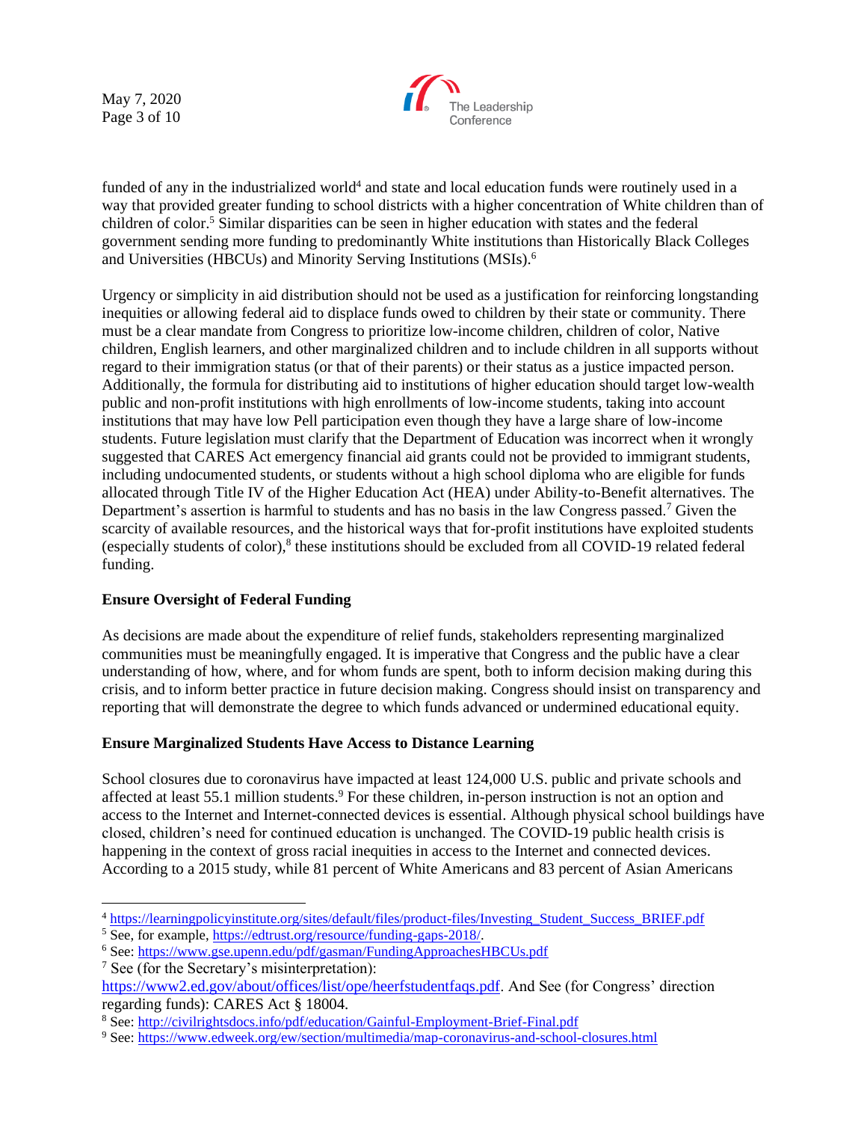May 7, 2020 Page 3 of 10



funded of any in the industrialized world<sup>4</sup> and state and local education funds were routinely used in a way that provided greater funding to school districts with a higher concentration of White children than of children of color.<sup>5</sup> Similar disparities can be seen in higher education with states and the federal government sending more funding to predominantly White institutions than Historically Black Colleges and Universities (HBCUs) and Minority Serving Institutions (MSIs).<sup>6</sup>

Urgency or simplicity in aid distribution should not be used as a justification for reinforcing longstanding inequities or allowing federal aid to displace funds owed to children by their state or community. There must be a clear mandate from Congress to prioritize low-income children, children of color, Native children, English learners, and other marginalized children and to include children in all supports without regard to their immigration status (or that of their parents) or their status as a justice impacted person. Additionally, the formula for distributing aid to institutions of higher education should target low-wealth public and non-profit institutions with high enrollments of low-income students, taking into account institutions that may have low Pell participation even though they have a large share of low-income students. Future legislation must clarify that the Department of Education was incorrect when it wrongly suggested that CARES Act emergency financial aid grants could not be provided to immigrant students, including undocumented students, or students without a high school diploma who are eligible for funds allocated through Title IV of the Higher Education Act (HEA) under Ability-to-Benefit alternatives. The Department's assertion is harmful to students and has no basis in the law Congress passed.<sup>7</sup> Given the scarcity of available resources, and the historical ways that for-profit institutions have exploited students (especially students of color),<sup>8</sup> these institutions should be excluded from all COVID-19 related federal funding.

# **Ensure Oversight of Federal Funding**

As decisions are made about the expenditure of relief funds, stakeholders representing marginalized communities must be meaningfully engaged. It is imperative that Congress and the public have a clear understanding of how, where, and for whom funds are spent, both to inform decision making during this crisis, and to inform better practice in future decision making. Congress should insist on transparency and reporting that will demonstrate the degree to which funds advanced or undermined educational equity.

# **Ensure Marginalized Students Have Access to Distance Learning**

School closures due to coronavirus have impacted at least 124,000 U.S. public and private schools and affected at least 55.1 million students.<sup>9</sup> For these children, in-person instruction is not an option and access to the Internet and Internet-connected devices is essential. Although physical school buildings have closed, children's need for continued education is unchanged. The COVID-19 public health crisis is happening in the context of gross racial inequities in access to the Internet and connected devices. According to a 2015 study, while 81 percent of White Americans and 83 percent of Asian Americans

<sup>7</sup> See (for the Secretary's misinterpretation):

<sup>4</sup> [https://learningpolicyinstitute.org/sites/default/files/product-files/Investing\\_Student\\_Success\\_BRIEF.pdf](https://learningpolicyinstitute.org/sites/default/files/product-files/Investing_Student_Success_BRIEF.pdf)

<sup>5</sup> See, for example, [https://edtrust.org/resource/funding-gaps-2018/.](https://edtrust.org/resource/funding-gaps-2018/)

<sup>6</sup> See:<https://www.gse.upenn.edu/pdf/gasman/FundingApproachesHBCUs.pdf>

[https://www2.ed.gov/about/offices/list/ope/heerfstudentfaqs.pdf.](https://www2.ed.gov/about/offices/list/ope/heerfstudentfaqs.pdf) And See (for Congress' direction regarding funds): CARES Act § 18004.

<sup>8</sup> See:<http://civilrightsdocs.info/pdf/education/Gainful-Employment-Brief-Final.pdf>

<sup>9</sup> See:<https://www.edweek.org/ew/section/multimedia/map-coronavirus-and-school-closures.html>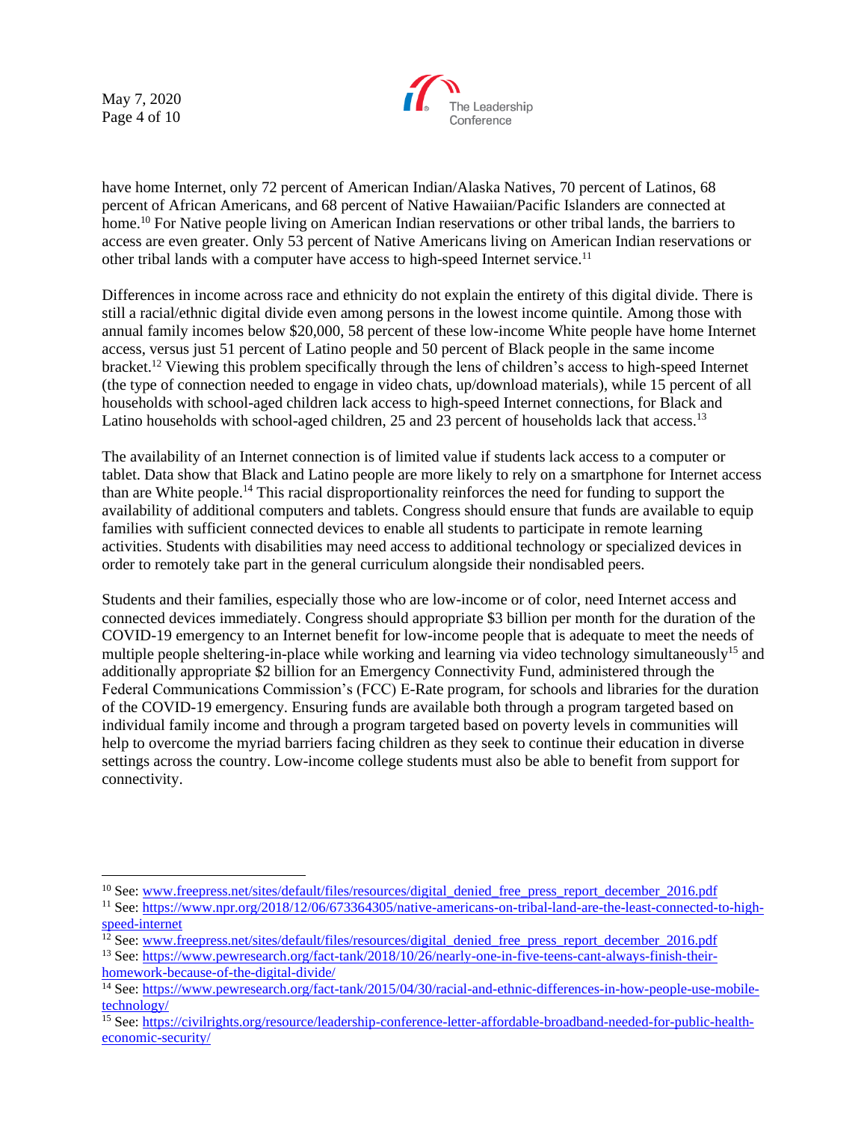May 7, 2020 Page 4 of 10



have home Internet, only 72 percent of American Indian/Alaska Natives, 70 percent of Latinos, 68 percent of African Americans, and 68 percent of Native Hawaiian/Pacific Islanders are connected at home.<sup>10</sup> For Native people living on American Indian reservations or other tribal lands, the barriers to access are even greater. Only 53 percent of Native Americans living on American Indian reservations or other tribal lands with a computer have access to high-speed Internet service.<sup>11</sup>

Differences in income across race and ethnicity do not explain the entirety of this digital divide. There is still a racial/ethnic digital divide even among persons in the lowest income quintile. Among those with annual family incomes below \$20,000, 58 percent of these low-income White people have home Internet access, versus just 51 percent of Latino people and 50 percent of Black people in the same income bracket.<sup>12</sup> Viewing this problem specifically through the lens of children's access to high-speed Internet (the type of connection needed to engage in video chats, up/download materials), while 15 percent of all households with school-aged children lack access to high-speed Internet connections, for Black and Latino households with school-aged children, 25 and 23 percent of households lack that access.<sup>13</sup>

The availability of an Internet connection is of limited value if students lack access to a computer or tablet. Data show that Black and Latino people are more likely to rely on a smartphone for Internet access than are White people.<sup>14</sup> This racial disproportionality reinforces the need for funding to support the availability of additional computers and tablets. Congress should ensure that funds are available to equip families with sufficient connected devices to enable all students to participate in remote learning activities. Students with disabilities may need access to additional technology or specialized devices in order to remotely take part in the general curriculum alongside their nondisabled peers.

Students and their families, especially those who are low-income or of color, need Internet access and connected devices immediately. Congress should appropriate \$3 billion per month for the duration of the COVID-19 emergency to an Internet benefit for low-income people that is adequate to meet the needs of multiple people sheltering-in-place while working and learning via video technology simultaneously<sup>15</sup> and additionally appropriate \$2 billion for an Emergency Connectivity Fund, administered through the Federal Communications Commission's (FCC) E-Rate program, for schools and libraries for the duration of the COVID-19 emergency. Ensuring funds are available both through a program targeted based on individual family income and through a program targeted based on poverty levels in communities will help to overcome the myriad barriers facing children as they seek to continue their education in diverse settings across the country. Low-income college students must also be able to benefit from support for connectivity.

<sup>&</sup>lt;sup>10</sup> See[: www.freepress.net/sites/default/files/resources/digital\\_denied\\_free\\_press\\_report\\_december\\_2016.pdf](http://www.freepress.net/sites/default/files/resources/digital_denied_free_press_report_december_2016.pdf)

<sup>11</sup> See[: https://www.npr.org/2018/12/06/673364305/native-americans-on-tribal-land-are-the-least-connected-to-high](https://www.npr.org/2018/12/06/673364305/native-americans-on-tribal-land-are-the-least-connected-to-high-speed-internet)[speed-internet](https://www.npr.org/2018/12/06/673364305/native-americans-on-tribal-land-are-the-least-connected-to-high-speed-internet)

 $12$  See[: www.freepress.net/sites/default/files/resources/digital\\_denied\\_free\\_press\\_report\\_december\\_2016.pdf](http://www.freepress.net/sites/default/files/resources/digital_denied_free_press_report_december_2016.pdf)

<sup>13</sup> See[: https://www.pewresearch.org/fact-tank/2018/10/26/nearly-one-in-five-teens-cant-always-finish-their](https://www.pewresearch.org/fact-tank/2018/10/26/nearly-one-in-five-teens-cant-always-finish-their-homework-because-of-the-digital-divide/)[homework-because-of-the-digital-divide/](https://www.pewresearch.org/fact-tank/2018/10/26/nearly-one-in-five-teens-cant-always-finish-their-homework-because-of-the-digital-divide/)

<sup>14</sup> See[: https://www.pewresearch.org/fact-tank/2015/04/30/racial-and-ethnic-differences-in-how-people-use-mobile](https://www.pewresearch.org/fact-tank/2015/04/30/racial-and-ethnic-differences-in-how-people-use-mobile-technology/)[technology/](https://www.pewresearch.org/fact-tank/2015/04/30/racial-and-ethnic-differences-in-how-people-use-mobile-technology/)

<sup>&</sup>lt;sup>15</sup> See: https://civilrights.org/resource/leade<u>rship-conference-letter-affordable-broadband-needed-for-public-health-</u> [economic-security/](https://civilrights.org/resource/leadership-conference-letter-affordable-broadband-needed-for-public-health-economic-security/)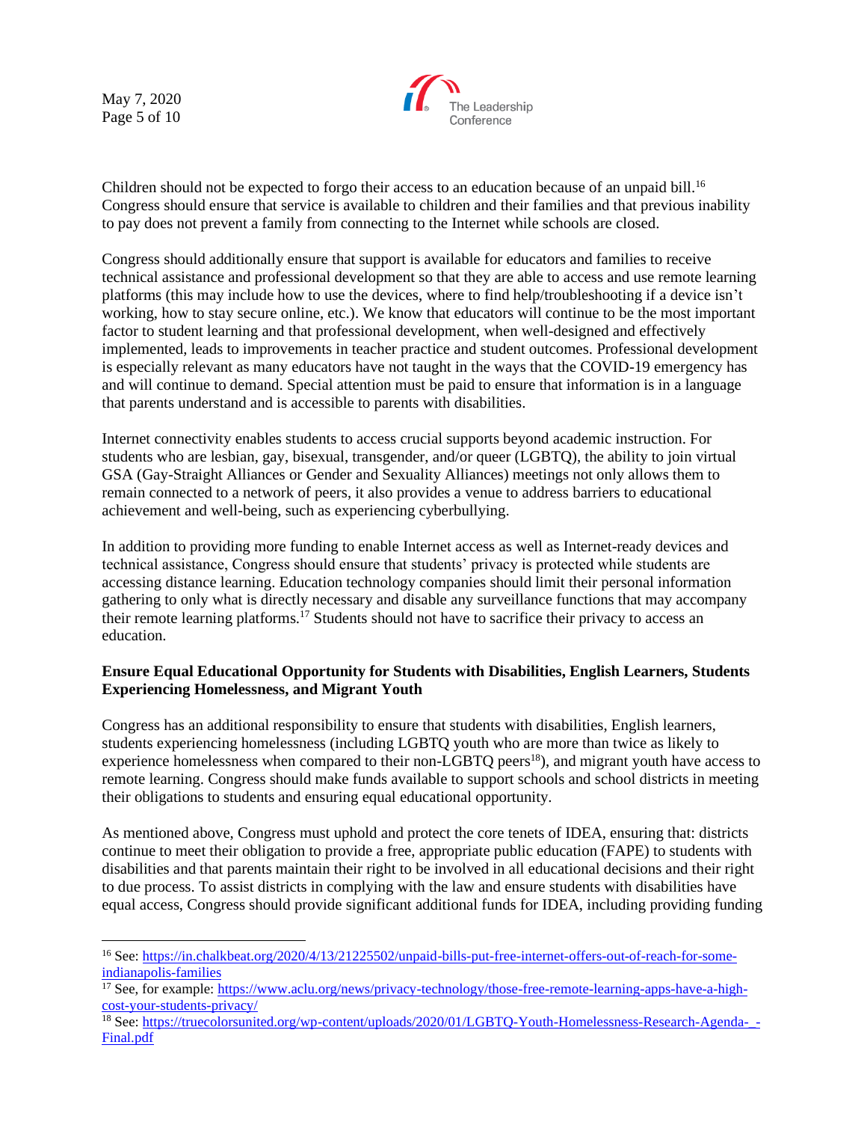May 7, 2020 Page 5 of 10



Children should not be expected to forgo their access to an education because of an unpaid bill.<sup>16</sup> Congress should ensure that service is available to children and their families and that previous inability to pay does not prevent a family from connecting to the Internet while schools are closed.

Congress should additionally ensure that support is available for educators and families to receive technical assistance and professional development so that they are able to access and use remote learning platforms (this may include how to use the devices, where to find help/troubleshooting if a device isn't working, how to stay secure online, etc.). We know that educators will continue to be the most important factor to student learning and that professional development, when well-designed and effectively implemented, leads to improvements in teacher practice and student outcomes. Professional development is especially relevant as many educators have not taught in the ways that the COVID-19 emergency has and will continue to demand. Special attention must be paid to ensure that information is in a language that parents understand and is accessible to parents with disabilities.

Internet connectivity enables students to access crucial supports beyond academic instruction. For students who are lesbian, gay, bisexual, transgender, and/or queer (LGBTQ), the ability to join virtual GSA (Gay-Straight Alliances or Gender and Sexuality Alliances) meetings not only allows them to remain connected to a network of peers, it also provides a venue to address barriers to educational achievement and well-being, such as experiencing cyberbullying.

In addition to providing more funding to enable Internet access as well as Internet-ready devices and technical assistance, Congress should ensure that students' privacy is protected while students are accessing distance learning. Education technology companies should limit their personal information gathering to only what is directly necessary and disable any surveillance functions that may accompany their remote learning platforms.<sup>17</sup> Students should not have to sacrifice their privacy to access an education.

### **Ensure Equal Educational Opportunity for Students with Disabilities, English Learners, Students Experiencing Homelessness, and Migrant Youth**

Congress has an additional responsibility to ensure that students with disabilities, English learners, students experiencing homelessness (including LGBTQ youth who are more than twice as likely to experience homelessness when compared to their non-LGBTQ peers<sup>18</sup>), and migrant youth have access to remote learning. Congress should make funds available to support schools and school districts in meeting their obligations to students and ensuring equal educational opportunity.

As mentioned above, Congress must uphold and protect the core tenets of IDEA, ensuring that: districts continue to meet their obligation to provide a free, appropriate public education (FAPE) to students with disabilities and that parents maintain their right to be involved in all educational decisions and their right to due process. To assist districts in complying with the law and ensure students with disabilities have equal access, Congress should provide significant additional funds for IDEA, including providing funding

<sup>&</sup>lt;sup>16</sup> See[: https://in.chalkbeat.org/2020/4/13/21225502/unpaid-bills-put-free-internet-offers-out-of-reach-for-some](https://in.chalkbeat.org/2020/4/13/21225502/unpaid-bills-put-free-internet-offers-out-of-reach-for-some-indianapolis-families)[indianapolis-families](https://in.chalkbeat.org/2020/4/13/21225502/unpaid-bills-put-free-internet-offers-out-of-reach-for-some-indianapolis-families)

<sup>&</sup>lt;sup>17</sup> See, for example: [https://www.aclu.org/news/privacy-technology/those-free-remote-learning-apps-have-a-high](https://www.aclu.org/news/privacy-technology/those-free-remote-learning-apps-have-a-high-cost-your-students-privacy/)[cost-your-students-privacy/](https://www.aclu.org/news/privacy-technology/those-free-remote-learning-apps-have-a-high-cost-your-students-privacy/)

<sup>&</sup>lt;sup>18</sup> See[: https://truecolorsunited.org/wp-content/uploads/2020/01/LGBTQ-Youth-Homelessness-Research-Agenda-\\_-](https://truecolorsunited.org/wp-content/uploads/2020/01/LGBTQ-Youth-Homelessness-Research-Agenda-_-Final.pdf) [Final.pdf](https://truecolorsunited.org/wp-content/uploads/2020/01/LGBTQ-Youth-Homelessness-Research-Agenda-_-Final.pdf)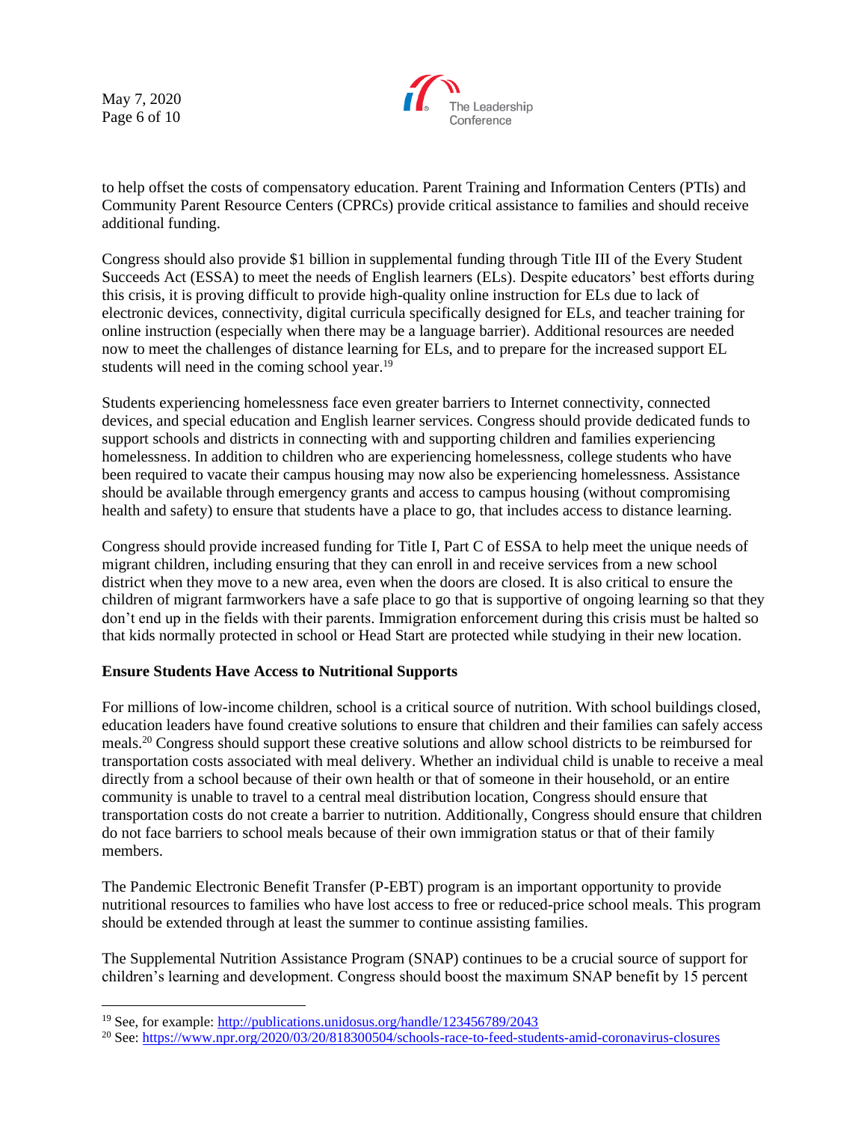May 7, 2020 Page 6 of 10



to help offset the costs of compensatory education. Parent Training and Information Centers (PTIs) and Community Parent Resource Centers (CPRCs) provide critical assistance to families and should receive additional funding.

Congress should also provide \$1 billion in supplemental funding through Title III of the Every Student Succeeds Act (ESSA) to meet the needs of English learners (ELs). Despite educators' best efforts during this crisis, it is proving difficult to provide high-quality online instruction for ELs due to lack of electronic devices, connectivity, digital curricula specifically designed for ELs, and teacher training for online instruction (especially when there may be a language barrier). Additional resources are needed now to meet the challenges of distance learning for ELs, and to prepare for the increased support EL students will need in the coming school year.<sup>19</sup>

Students experiencing homelessness face even greater barriers to Internet connectivity, connected devices, and special education and English learner services. Congress should provide dedicated funds to support schools and districts in connecting with and supporting children and families experiencing homelessness. In addition to children who are experiencing homelessness, college students who have been required to vacate their campus housing may now also be experiencing homelessness. Assistance should be available through emergency grants and access to campus housing (without compromising health and safety) to ensure that students have a place to go, that includes access to distance learning.

Congress should provide increased funding for Title I, Part C of ESSA to help meet the unique needs of migrant children, including ensuring that they can enroll in and receive services from a new school district when they move to a new area, even when the doors are closed. It is also critical to ensure the children of migrant farmworkers have a safe place to go that is supportive of ongoing learning so that they don't end up in the fields with their parents. Immigration enforcement during this crisis must be halted so that kids normally protected in school or Head Start are protected while studying in their new location.

### **Ensure Students Have Access to Nutritional Supports**

For millions of low-income children, school is a critical source of nutrition. With school buildings closed, education leaders have found creative solutions to ensure that children and their families can safely access meals.<sup>20</sup> Congress should support these creative solutions and allow school districts to be reimbursed for transportation costs associated with meal delivery. Whether an individual child is unable to receive a meal directly from a school because of their own health or that of someone in their household, or an entire community is unable to travel to a central meal distribution location, Congress should ensure that transportation costs do not create a barrier to nutrition. Additionally, Congress should ensure that children do not face barriers to school meals because of their own immigration status or that of their family members.

The Pandemic Electronic Benefit Transfer (P-EBT) program is an important opportunity to provide nutritional resources to families who have lost access to free or reduced-price school meals. This program should be extended through at least the summer to continue assisting families.

The Supplemental Nutrition Assistance Program (SNAP) continues to be a crucial source of support for children's learning and development. Congress should boost the maximum SNAP benefit by 15 percent

<sup>&</sup>lt;sup>19</sup> See, for example:<http://publications.unidosus.org/handle/123456789/2043>

<sup>20</sup> See[: https://www.npr.org/2020/03/20/818300504/schools-race-to-feed-students-amid-coronavirus-closures](https://www.npr.org/2020/03/20/818300504/schools-race-to-feed-students-amid-coronavirus-closures)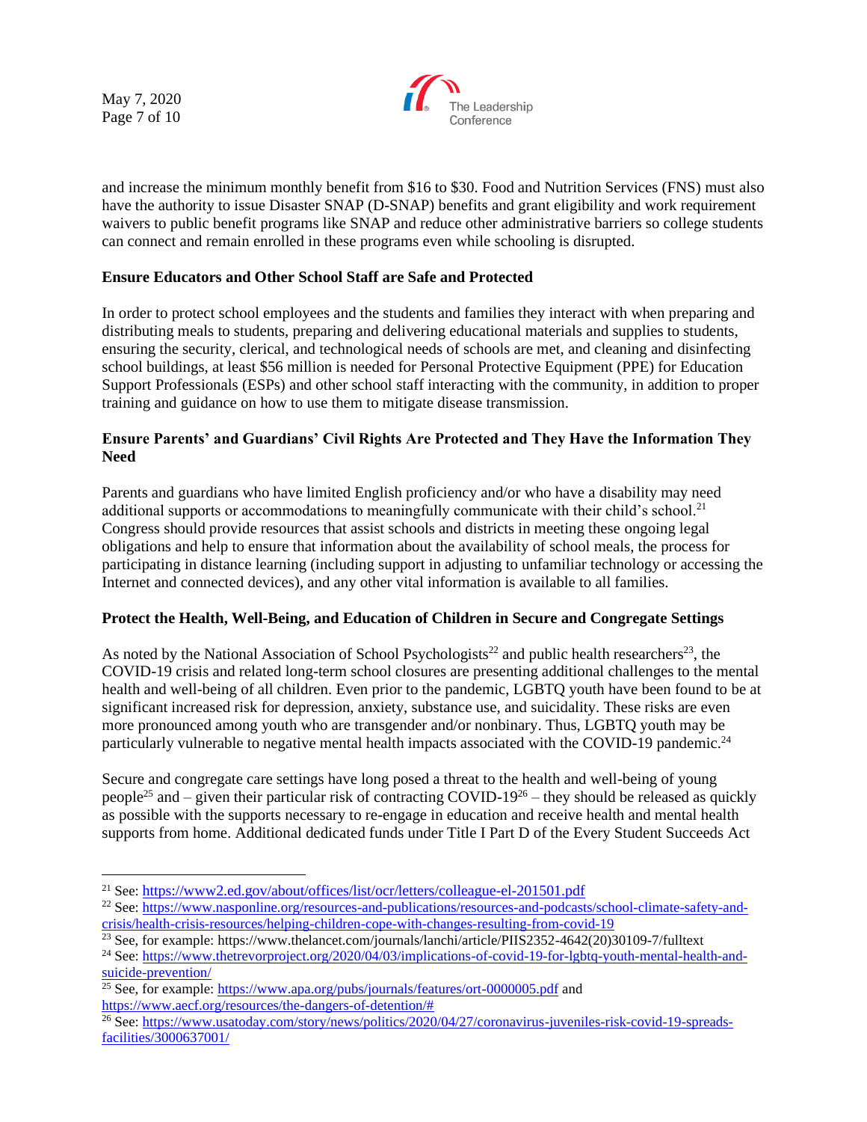May 7, 2020 Page 7 of 10



and increase the minimum monthly benefit from \$16 to \$30. Food and Nutrition Services (FNS) must also have the authority to issue Disaster SNAP (D-SNAP) benefits and grant eligibility and work requirement waivers to public benefit programs like SNAP and reduce other administrative barriers so college students can connect and remain enrolled in these programs even while schooling is disrupted.

### **Ensure Educators and Other School Staff are Safe and Protected**

In order to protect school employees and the students and families they interact with when preparing and distributing meals to students, preparing and delivering educational materials and supplies to students, ensuring the security, clerical, and technological needs of schools are met, and cleaning and disinfecting school buildings, at least \$56 million is needed for Personal Protective Equipment (PPE) for Education Support Professionals (ESPs) and other school staff interacting with the community, in addition to proper training and guidance on how to use them to mitigate disease transmission.

### **Ensure Parents' and Guardians' Civil Rights Are Protected and They Have the Information They Need**

Parents and guardians who have limited English proficiency and/or who have a disability may need additional supports or accommodations to meaningfully communicate with their child's school.<sup>21</sup> Congress should provide resources that assist schools and districts in meeting these ongoing legal obligations and help to ensure that information about the availability of school meals, the process for participating in distance learning (including support in adjusting to unfamiliar technology or accessing the Internet and connected devices), and any other vital information is available to all families.

### **Protect the Health, Well-Being, and Education of Children in Secure and Congregate Settings**

As noted by the National Association of School Psychologists<sup>22</sup> and public health researchers<sup>23</sup>, the COVID-19 crisis and related long-term school closures are presenting additional challenges to the mental health and well-being of all children. Even prior to the pandemic, LGBTQ youth have been found to be at significant increased risk for depression, anxiety, substance use, and suicidality. These risks are even more pronounced among youth who are transgender and/or nonbinary. Thus, LGBTQ youth may be particularly vulnerable to negative mental health impacts associated with the COVID-19 pandemic.<sup>24</sup>

Secure and congregate care settings have long posed a threat to the health and well-being of young people<sup>25</sup> and – given their particular risk of contracting COVID-19<sup>26</sup> – they should be released as quickly as possible with the supports necessary to re-engage in education and receive health and mental health supports from home. Additional dedicated funds under Title I Part D of the Every Student Succeeds Act

<sup>&</sup>lt;sup>21</sup> See: <https://www2.ed.gov/about/offices/list/ocr/letters/colleague-el-201501.pdf>

<sup>22</sup> See[: https://www.nasponline.org/resources-and-publications/resources-and-podcasts/school-climate-safety-and](https://www.nasponline.org/resources-and-publications/resources-and-podcasts/school-climate-safety-and-crisis/health-crisis-resources/helping-children-cope-with-changes-resulting-from-covid-19)[crisis/health-crisis-resources/helping-children-cope-with-changes-resulting-from-covid-19](https://www.nasponline.org/resources-and-publications/resources-and-podcasts/school-climate-safety-and-crisis/health-crisis-resources/helping-children-cope-with-changes-resulting-from-covid-19)

<sup>&</sup>lt;sup>23</sup> See, for example: https://www.thelancet.com/journals/lanchi/article/PIIS2352-4642(20)30109-7/fulltext

<sup>24</sup> See[: https://www.thetrevorproject.org/2020/04/03/implications-of-covid-19-for-lgbtq-youth-mental-health-and](https://www.thetrevorproject.org/2020/04/03/implications-of-covid-19-for-lgbtq-youth-mental-health-and-suicide-prevention/)[suicide-prevention/](https://www.thetrevorproject.org/2020/04/03/implications-of-covid-19-for-lgbtq-youth-mental-health-and-suicide-prevention/)

<sup>&</sup>lt;sup>25</sup> See, for example:<https://www.apa.org/pubs/journals/features/ort-0000005.pdf> and

[https://www.aecf.org/resources/the-dangers-of-detention/#](https://www.aecf.org/resources/the-dangers-of-detention/)

<sup>&</sup>lt;sup>26</sup> See[: https://www.usatoday.com/story/news/politics/2020/04/27/coronavirus-juveniles-risk-covid-19-spreads](https://www.usatoday.com/story/news/politics/2020/04/27/coronavirus-juveniles-risk-covid-19-spreads-facilities/3000637001/)[facilities/3000637001/](https://www.usatoday.com/story/news/politics/2020/04/27/coronavirus-juveniles-risk-covid-19-spreads-facilities/3000637001/)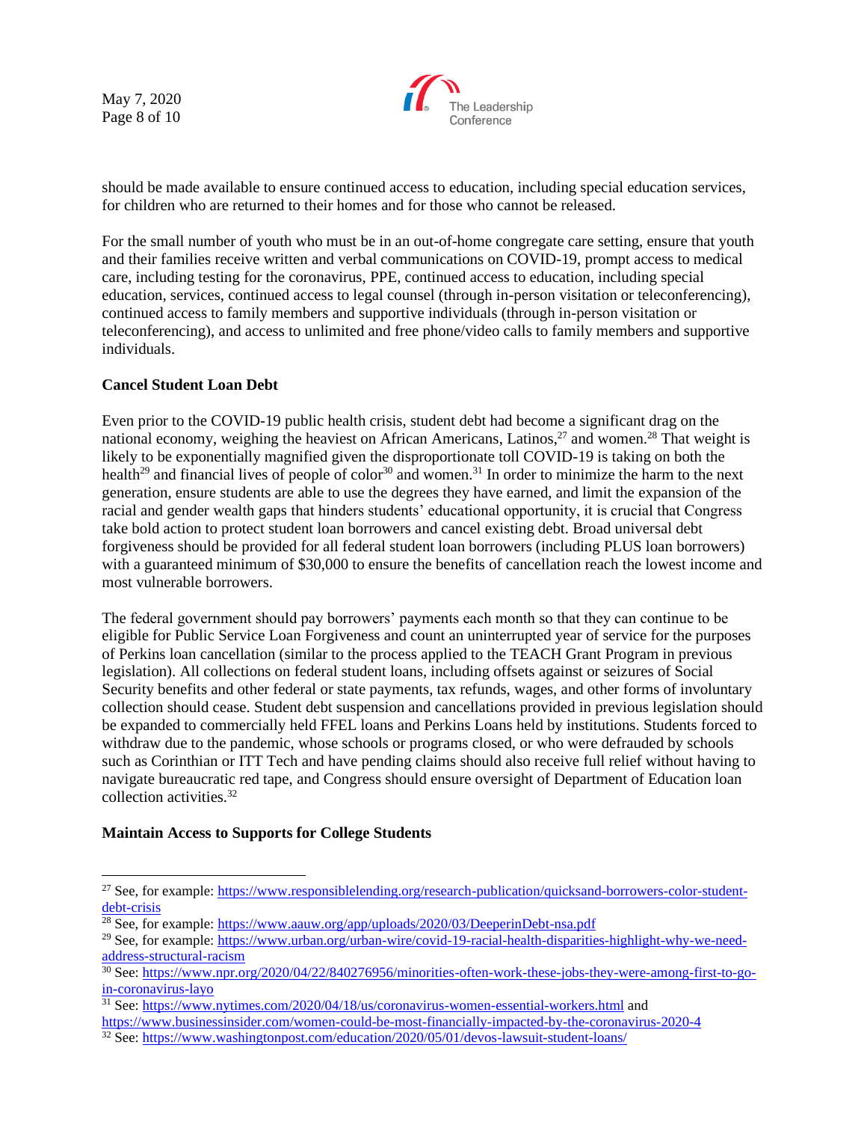May 7, 2020 Page 8 of 10



should be made available to ensure continued access to education, including special education services, for children who are returned to their homes and for those who cannot be released.

For the small number of youth who must be in an out-of-home congregate care setting, ensure that youth and their families receive written and verbal communications on COVID-19, prompt access to medical care, including testing for the coronavirus, PPE, continued access to education, including special education, services, continued access to legal counsel (through in-person visitation or teleconferencing), continued access to family members and supportive individuals (through in-person visitation or teleconferencing), and access to unlimited and free phone/video calls to family members and supportive individuals.

### **Cancel Student Loan Debt**

Even prior to the COVID-19 public health crisis, student debt had become a significant drag on the national economy, weighing the heaviest on African Americans, Latinos,<sup>27</sup> and women.<sup>28</sup> That weight is likely to be exponentially magnified given the disproportionate toll COVID-19 is taking on both the health<sup>29</sup> and financial lives of people of color<sup>30</sup> and women.<sup>31</sup> In order to minimize the harm to the next generation, ensure students are able to use the degrees they have earned, and limit the expansion of the racial and gender wealth gaps that hinders students' educational opportunity, it is crucial that Congress take bold action to protect student loan borrowers and cancel existing debt. Broad universal debt forgiveness should be provided for all federal student loan borrowers (including PLUS loan borrowers) with a guaranteed minimum of \$30,000 to ensure the benefits of cancellation reach the lowest income and most vulnerable borrowers.

The federal government should pay borrowers' payments each month so that they can continue to be eligible for Public Service Loan Forgiveness and count an uninterrupted year of service for the purposes of Perkins loan cancellation (similar to the process applied to the TEACH Grant Program in previous legislation). All collections on federal student loans, including offsets against or seizures of Social Security benefits and other federal or state payments, tax refunds, wages, and other forms of involuntary collection should cease. Student debt suspension and cancellations provided in previous legislation should be expanded to commercially held FFEL loans and Perkins Loans held by institutions. Students forced to withdraw due to the pandemic, whose schools or programs closed, or who were defrauded by schools such as Corinthian or ITT Tech and have pending claims should also receive full relief without having to navigate bureaucratic red tape, and Congress should ensure oversight of Department of Education loan collection activities.<sup>32</sup>

### **Maintain Access to Supports for College Students**

<sup>&</sup>lt;sup>27</sup> See, for example: [https://www.responsiblelending.org/research-publication/quicksand-borrowers-color-student](https://www.responsiblelending.org/research-publication/quicksand-borrowers-color-student-debt-crisis)[debt-crisis](https://www.responsiblelending.org/research-publication/quicksand-borrowers-color-student-debt-crisis)

<sup>&</sup>lt;sup>28</sup> See, for example:<https://www.aauw.org/app/uploads/2020/03/DeeperinDebt-nsa.pdf>

<sup>29</sup> See, for example: [https://www.urban.org/urban-wire/covid-19-racial-health-disparities-highlight-why-we-need](https://www.urban.org/urban-wire/covid-19-racial-health-disparities-highlight-why-we-need-address-structural-racism)[address-structural-racism](https://www.urban.org/urban-wire/covid-19-racial-health-disparities-highlight-why-we-need-address-structural-racism)

<sup>30</sup> See[: https://www.npr.org/2020/04/22/840276956/minorities-often-work-these-jobs-they-were-among-first-to-go](https://www.npr.org/2020/04/22/840276956/minorities-often-work-these-jobs-they-were-among-first-to-go-in-coronavirus-layo)[in-coronavirus-layo](https://www.npr.org/2020/04/22/840276956/minorities-often-work-these-jobs-they-were-among-first-to-go-in-coronavirus-layo)

<sup>&</sup>lt;sup>31</sup> See[: https://www.nytimes.com/2020/04/18/us/coronavirus-women-essential-workers.html](https://www.nytimes.com/2020/04/18/us/coronavirus-women-essential-workers.html) and

<https://www.businessinsider.com/women-could-be-most-financially-impacted-by-the-coronavirus-2020-4>

<sup>32</sup> See[: https://www.washingtonpost.com/education/2020/05/01/devos-lawsuit-student-loans/](https://www.washingtonpost.com/education/2020/05/01/devos-lawsuit-student-loans/)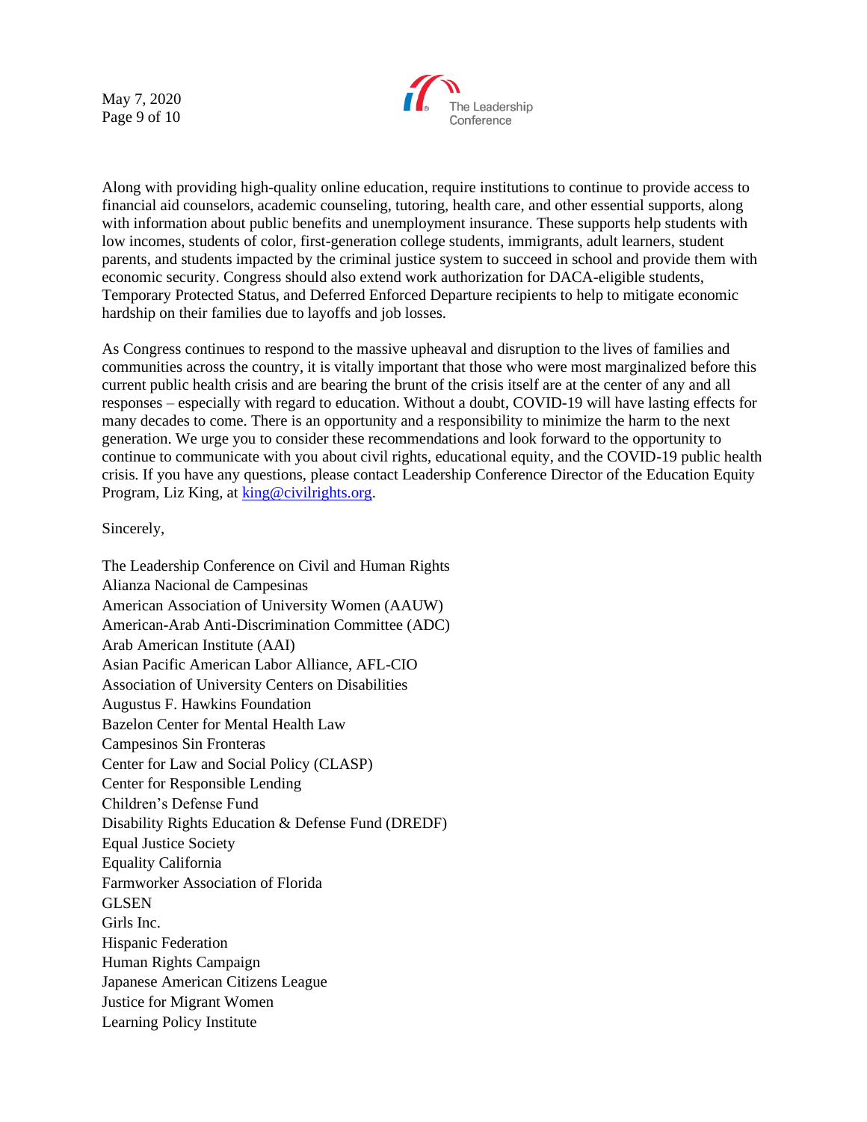May 7, 2020 Page 9 of 10



Along with providing high-quality online education, require institutions to continue to provide access to financial aid counselors, academic counseling, tutoring, health care, and other essential supports, along with information about public benefits and unemployment insurance. These supports help students with low incomes, students of color, first-generation college students, immigrants, adult learners, student parents, and students impacted by the criminal justice system to succeed in school and provide them with economic security. Congress should also extend work authorization for DACA-eligible students, Temporary Protected Status, and Deferred Enforced Departure recipients to help to mitigate economic hardship on their families due to layoffs and job losses.

As Congress continues to respond to the massive upheaval and disruption to the lives of families and communities across the country, it is vitally important that those who were most marginalized before this current public health crisis and are bearing the brunt of the crisis itself are at the center of any and all responses – especially with regard to education. Without a doubt, COVID-19 will have lasting effects for many decades to come. There is an opportunity and a responsibility to minimize the harm to the next generation. We urge you to consider these recommendations and look forward to the opportunity to continue to communicate with you about civil rights, educational equity, and the COVID-19 public health crisis. If you have any questions, please contact Leadership Conference Director of the Education Equity Program, Liz King, at [king@civilrights.org.](mailto:king@civilrights.org)

#### Sincerely,

The Leadership Conference on Civil and Human Rights Alianza Nacional de Campesinas American Association of University Women (AAUW) American-Arab Anti-Discrimination Committee (ADC) Arab American Institute (AAI) Asian Pacific American Labor Alliance, AFL-CIO Association of University Centers on Disabilities Augustus F. Hawkins Foundation Bazelon Center for Mental Health Law Campesinos Sin Fronteras Center for Law and Social Policy (CLASP) Center for Responsible Lending Children's Defense Fund Disability Rights Education & Defense Fund (DREDF) Equal Justice Society Equality California Farmworker Association of Florida GLSEN Girls Inc. Hispanic Federation Human Rights Campaign Japanese American Citizens League Justice for Migrant Women Learning Policy Institute